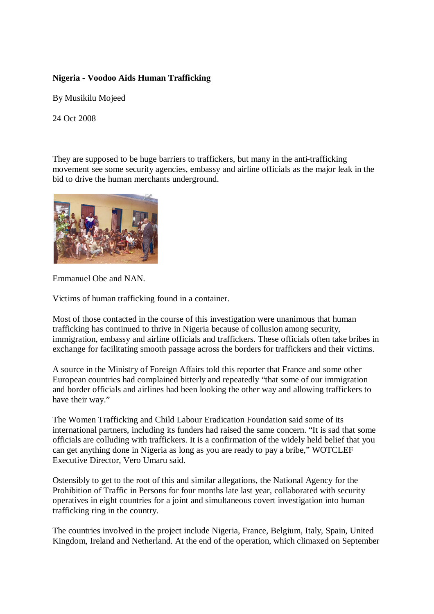## **Nigeria - Voodoo Aids Human Trafficking**

By Musikilu Mojeed

24 Oct 2008

They are supposed to be huge barriers to traffickers, but many in the anti-trafficking movement see some security agencies, embassy and airline officials as the major leak in the bid to drive the human merchants underground.



Emmanuel Obe and NAN.

Victims of human trafficking found in a container.

Most of those contacted in the course of this investigation were unanimous that human trafficking has continued to thrive in Nigeria because of collusion among security, immigration, embassy and airline officials and traffickers. These officials often take bribes in exchange for facilitating smooth passage across the borders for traffickers and their victims.

A source in the Ministry of Foreign Affairs told this reporter that France and some other European countries had complained bitterly and repeatedly "that some of our immigration and border officials and airlines had been looking the other way and allowing traffickers to have their way."

The Women Trafficking and Child Labour Eradication Foundation said some of its international partners, including its funders had raised the same concern. "It is sad that some officials are colluding with traffickers. It is a confirmation of the widely held belief that you can get anything done in Nigeria as long as you are ready to pay a bribe," WOTCLEF Executive Director, Vero Umaru said.

Ostensibly to get to the root of this and similar allegations, the National Agency for the Prohibition of Traffic in Persons for four months late last year, collaborated with security operatives in eight countries for a joint and simultaneous covert investigation into human trafficking ring in the country.

The countries involved in the project include Nigeria, France, Belgium, Italy, Spain, United Kingdom, Ireland and Netherland. At the end of the operation, which climaxed on September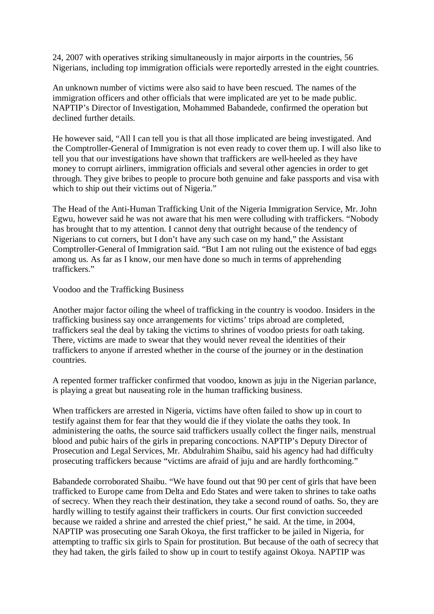24, 2007 with operatives striking simultaneously in major airports in the countries, 56 Nigerians, including top immigration officials were reportedly arrested in the eight countries.

An unknown number of victims were also said to have been rescued. The names of the immigration officers and other officials that were implicated are yet to be made public. NAPTIP's Director of Investigation, Mohammed Babandede, confirmed the operation but declined further details.

He however said, "All I can tell you is that all those implicated are being investigated. And the Comptroller-General of Immigration is not even ready to cover them up. I will also like to tell you that our investigations have shown that traffickers are well-heeled as they have money to corrupt airliners, immigration officials and several other agencies in order to get through. They give bribes to people to procure both genuine and fake passports and visa with which to ship out their victims out of Nigeria."

The Head of the Anti-Human Trafficking Unit of the Nigeria Immigration Service, Mr. John Egwu, however said he was not aware that his men were colluding with traffickers. "Nobody has brought that to my attention. I cannot deny that outright because of the tendency of Nigerians to cut corners, but I don't have any such case on my hand," the Assistant Comptroller-General of Immigration said. "But I am not ruling out the existence of bad eggs among us. As far as I know, our men have done so much in terms of apprehending traffickers."

Voodoo and the Trafficking Business

Another major factor oiling the wheel of trafficking in the country is voodoo. Insiders in the trafficking business say once arrangements for victims' trips abroad are completed, traffickers seal the deal by taking the victims to shrines of voodoo priests for oath taking. There, victims are made to swear that they would never reveal the identities of their traffickers to anyone if arrested whether in the course of the journey or in the destination countries.

A repented former trafficker confirmed that voodoo, known as juju in the Nigerian parlance, is playing a great but nauseating role in the human trafficking business.

When traffickers are arrested in Nigeria, victims have often failed to show up in court to testify against them for fear that they would die if they violate the oaths they took. In administering the oaths, the source said traffickers usually collect the finger nails, menstrual blood and pubic hairs of the girls in preparing concoctions. NAPTIP's Deputy Director of Prosecution and Legal Services, Mr. Abdulrahim Shaibu, said his agency had had difficulty prosecuting traffickers because "victims are afraid of juju and are hardly forthcoming."

Babandede corroborated Shaibu. "We have found out that 90 per cent of girls that have been trafficked to Europe came from Delta and Edo States and were taken to shrines to take oaths of secrecy. When they reach their destination, they take a second round of oaths. So, they are hardly willing to testify against their traffickers in courts. Our first conviction succeeded because we raided a shrine and arrested the chief priest," he said. At the time, in 2004, NAPTIP was prosecuting one Sarah Okoya, the first trafficker to be jailed in Nigeria, for attempting to traffic six girls to Spain for prostitution. But because of the oath of secrecy that they had taken, the girls failed to show up in court to testify against Okoya. NAPTIP was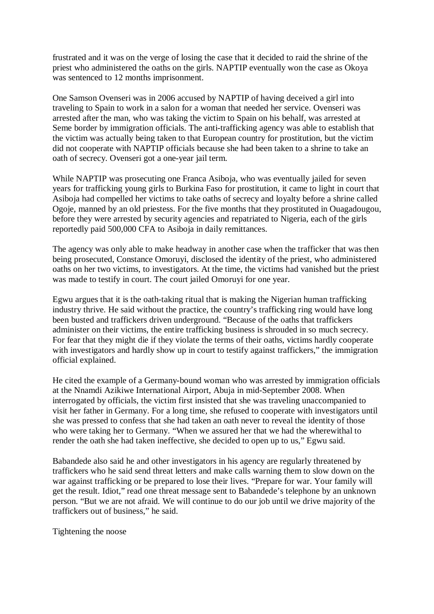frustrated and it was on the verge of losing the case that it decided to raid the shrine of the priest who administered the oaths on the girls. NAPTIP eventually won the case as Okoya was sentenced to 12 months imprisonment.

One Samson Ovenseri was in 2006 accused by NAPTIP of having deceived a girl into traveling to Spain to work in a salon for a woman that needed her service. Ovenseri was arrested after the man, who was taking the victim to Spain on his behalf, was arrested at Seme border by immigration officials. The anti-trafficking agency was able to establish that the victim was actually being taken to that European country for prostitution, but the victim did not cooperate with NAPTIP officials because she had been taken to a shrine to take an oath of secrecy. Ovenseri got a one-year jail term.

While NAPTIP was prosecuting one Franca Asiboja, who was eventually jailed for seven years for trafficking young girls to Burkina Faso for prostitution, it came to light in court that Asiboja had compelled her victims to take oaths of secrecy and loyalty before a shrine called Ogoje, manned by an old priestess. For the five months that they prostituted in Ouagadougou, before they were arrested by security agencies and repatriated to Nigeria, each of the girls reportedly paid 500,000 CFA to Asiboja in daily remittances.

The agency was only able to make headway in another case when the trafficker that was then being prosecuted, Constance Omoruyi, disclosed the identity of the priest, who administered oaths on her two victims, to investigators. At the time, the victims had vanished but the priest was made to testify in court. The court jailed Omoruyi for one year.

Egwu argues that it is the oath-taking ritual that is making the Nigerian human trafficking industry thrive. He said without the practice, the country's trafficking ring would have long been busted and traffickers driven underground. "Because of the oaths that traffickers administer on their victims, the entire trafficking business is shrouded in so much secrecy. For fear that they might die if they violate the terms of their oaths, victims hardly cooperate with investigators and hardly show up in court to testify against traffickers," the immigration official explained.

He cited the example of a Germany-bound woman who was arrested by immigration officials at the Nnamdi Azikiwe International Airport, Abuja in mid-September 2008. When interrogated by officials, the victim first insisted that she was traveling unaccompanied to visit her father in Germany. For a long time, she refused to cooperate with investigators until she was pressed to confess that she had taken an oath never to reveal the identity of those who were taking her to Germany. "When we assured her that we had the wherewithal to render the oath she had taken ineffective, she decided to open up to us," Egwu said.

Babandede also said he and other investigators in his agency are regularly threatened by traffickers who he said send threat letters and make calls warning them to slow down on the war against trafficking or be prepared to lose their lives. "Prepare for war. Your family will get the result. Idiot," read one threat message sent to Babandede's telephone by an unknown person. "But we are not afraid. We will continue to do our job until we drive majority of the traffickers out of business," he said.

Tightening the noose